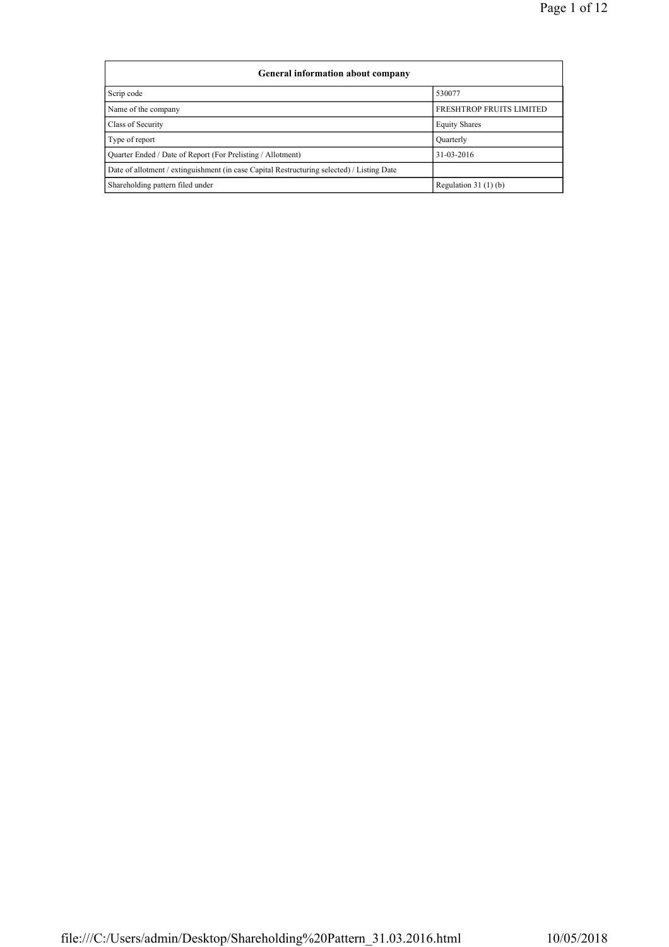| <b>General information about company</b>                                                   |                          |  |  |  |  |  |  |  |
|--------------------------------------------------------------------------------------------|--------------------------|--|--|--|--|--|--|--|
| Scrip code                                                                                 | 530077                   |  |  |  |  |  |  |  |
| Name of the company                                                                        | FRESHTROP FRUITS LIMITED |  |  |  |  |  |  |  |
| Class of Security                                                                          | <b>Equity Shares</b>     |  |  |  |  |  |  |  |
| Type of report                                                                             | Ouarterly                |  |  |  |  |  |  |  |
| Quarter Ended / Date of Report (For Prelisting / Allotment)                                | 31-03-2016               |  |  |  |  |  |  |  |
| Date of allotment / extinguishment (in case Capital Restructuring selected) / Listing Date |                          |  |  |  |  |  |  |  |
| Shareholding pattern filed under                                                           | Regulation $31(1)(b)$    |  |  |  |  |  |  |  |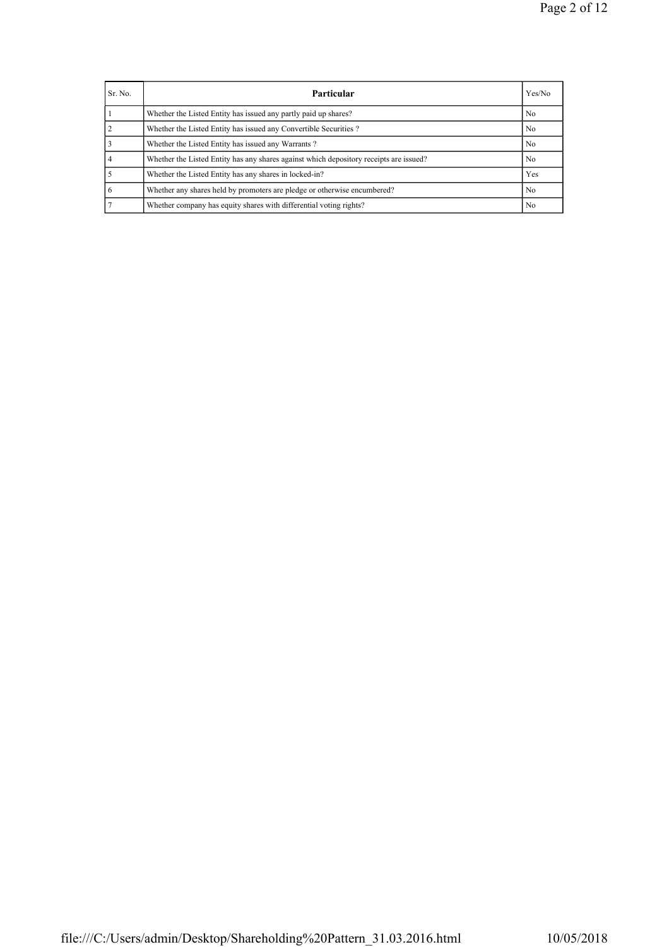| Sr. No. | <b>Particular</b>                                                                      | Yes/No         |
|---------|----------------------------------------------------------------------------------------|----------------|
|         | Whether the Listed Entity has issued any partly paid up shares?                        | N <sub>0</sub> |
|         | Whether the Listed Entity has issued any Convertible Securities?                       | No             |
|         | Whether the Listed Entity has issued any Warrants?                                     | No             |
|         | Whether the Listed Entity has any shares against which depository receipts are issued? | N <sub>0</sub> |
|         | Whether the Listed Entity has any shares in locked-in?                                 | Yes            |
|         | Whether any shares held by promoters are pledge or otherwise encumbered?               | N <sub>0</sub> |
|         | Whether company has equity shares with differential voting rights?                     | N <sub>0</sub> |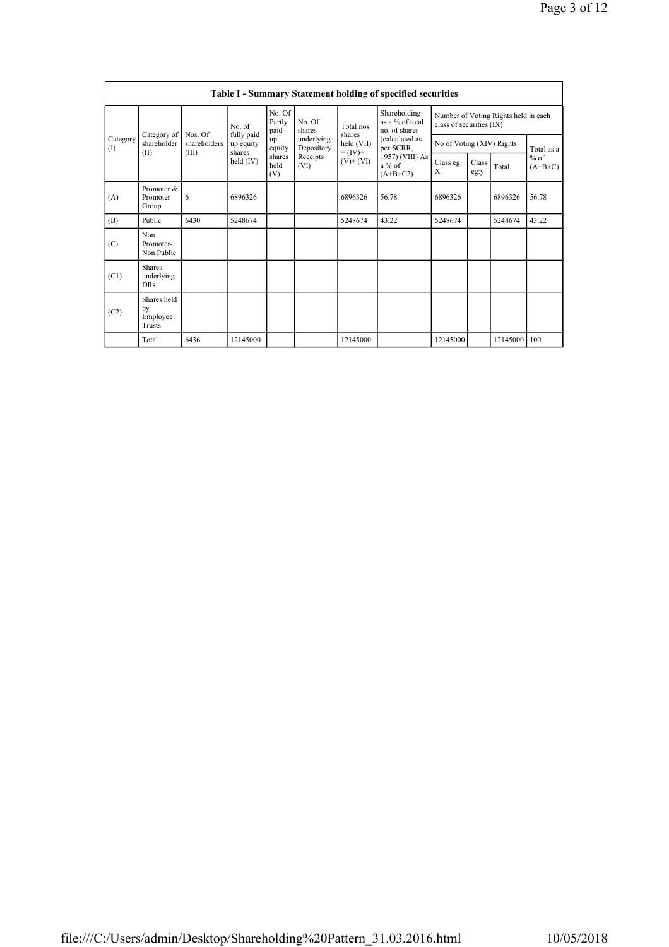|                         | <b>Table I - Summary Statement holding of specified securities</b> |                         |                                              |                  |                                    |                                                  |                                                                  |                           |               |                                   |       |  |  |
|-------------------------|--------------------------------------------------------------------|-------------------------|----------------------------------------------|------------------|------------------------------------|--------------------------------------------------|------------------------------------------------------------------|---------------------------|---------------|-----------------------------------|-------|--|--|
| Category<br>(1)<br>(II) |                                                                    | No. of                  | No. Of<br>Partly<br>paid-                    | No. Of<br>shares | Total nos.<br>shares               | Shareholding<br>as a % of total<br>no. of shares | Number of Voting Rights held in each<br>class of securities (IX) |                           |               |                                   |       |  |  |
|                         | Category of<br>shareholder                                         | Nos. Of<br>shareholders | fully paid<br>up equity                      | up<br>equity     | underlying<br>Depository           | held (VII)<br>$= (IV) +$                         | (calculated as<br>per SCRR,                                      | No of Voting (XIV) Rights |               | Total as a<br>$%$ of<br>$(A+B+C)$ |       |  |  |
|                         |                                                                    | (III)                   | shares<br>shares<br>held (IV)<br>held<br>(V) |                  | Receipts<br>$(V)$ + $(VI)$<br>(VI) |                                                  | 1957) (VIII) As<br>$a\%$ of<br>$(A+B+C2)$                        | Class eg:<br>X            | Class<br>eg:y |                                   | Total |  |  |
| (A)                     | Promoter &<br>Promoter<br>Group                                    | 6                       | 6896326                                      |                  |                                    | 6896326                                          | 56.78                                                            | 6896326                   |               | 6896326                           | 56.78 |  |  |
| (B)                     | Public                                                             | 6430                    | 5248674                                      |                  |                                    | 5248674                                          | 43.22                                                            | 5248674                   |               | 5248674                           | 43.22 |  |  |
| (C)                     | Non<br>Promoter-<br>Non Public                                     |                         |                                              |                  |                                    |                                                  |                                                                  |                           |               |                                   |       |  |  |
| (C1)                    | <b>Shares</b><br>underlying<br>DRs                                 |                         |                                              |                  |                                    |                                                  |                                                                  |                           |               |                                   |       |  |  |
| (C2)                    | Shares held<br>bv<br>Employee<br>Trusts                            |                         |                                              |                  |                                    |                                                  |                                                                  |                           |               |                                   |       |  |  |
|                         | Total                                                              | 6436                    | 12145000                                     |                  |                                    | 12145000                                         |                                                                  | 12145000                  |               | 12145000                          | 100   |  |  |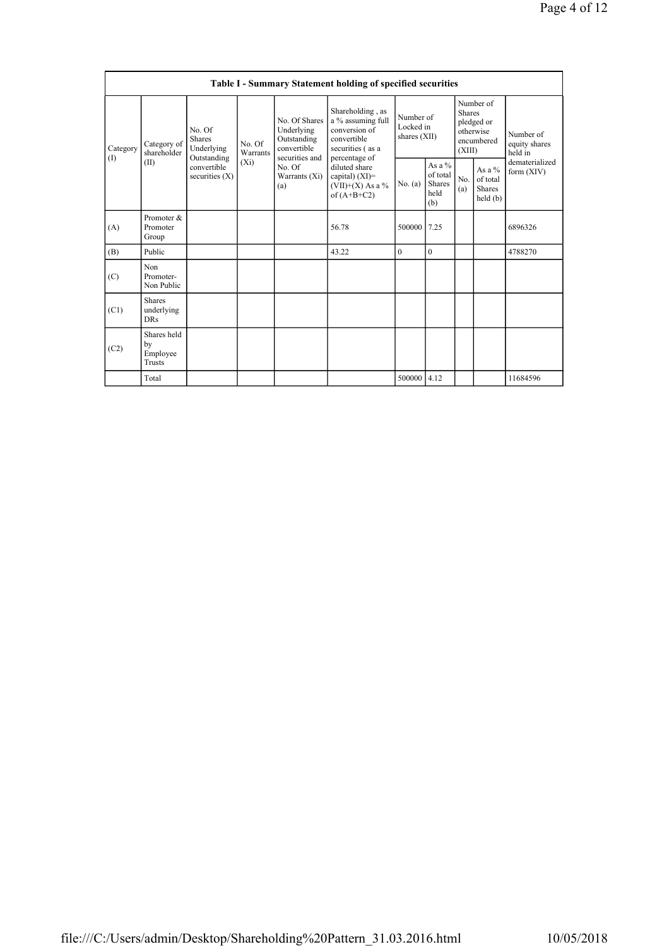| Table I - Summary Statement holding of specified securities |                                           |                                                      |                    |                                                                             |                                                                                                                                                                                        |                                        |                                             |                                                                               |                                                |                                       |  |
|-------------------------------------------------------------|-------------------------------------------|------------------------------------------------------|--------------------|-----------------------------------------------------------------------------|----------------------------------------------------------------------------------------------------------------------------------------------------------------------------------------|----------------------------------------|---------------------------------------------|-------------------------------------------------------------------------------|------------------------------------------------|---------------------------------------|--|
| Category<br>(1)                                             | Category of<br>shareholder<br>(II)        | No. Of<br><b>Shares</b><br>Underlying<br>Outstanding | No. Of<br>Warrants | No. Of Shares<br>Underlying<br>Outstanding<br>convertible<br>securities and | Shareholding, as<br>a % assuming full<br>conversion of<br>convertible<br>securities (as a<br>percentage of<br>diluted share<br>capital) $(XI)=$<br>$(VII)+(X)$ As a %<br>of $(A+B+C2)$ | Number of<br>Locked in<br>shares (XII) |                                             | Number of<br><b>Shares</b><br>pledged or<br>otherwise<br>encumbered<br>(XIII) |                                                | Number of<br>equity shares<br>held in |  |
|                                                             |                                           | $(X_i)$<br>convertible<br>securities $(X)$           | No. Of<br>(a)      | Warrants (Xi)                                                               |                                                                                                                                                                                        | No. (a)                                | As a %<br>of total<br>Shares<br>held<br>(b) | No.<br>(a)                                                                    | As a %<br>of total<br><b>Shares</b><br>held(b) | dematerialized<br>form $(XIV)$        |  |
| (A)                                                         | Promoter &<br>Promoter<br>Group           |                                                      |                    |                                                                             | 56.78                                                                                                                                                                                  | 500000                                 | 7.25                                        |                                                                               |                                                | 6896326                               |  |
| (B)                                                         | Public                                    |                                                      |                    |                                                                             | 43.22                                                                                                                                                                                  | $\boldsymbol{0}$                       | $\mathbf{0}$                                |                                                                               |                                                | 4788270                               |  |
| (C)                                                         | Non<br>Promoter-<br>Non Public            |                                                      |                    |                                                                             |                                                                                                                                                                                        |                                        |                                             |                                                                               |                                                |                                       |  |
| (C1)                                                        | <b>Shares</b><br>underlying<br><b>DRs</b> |                                                      |                    |                                                                             |                                                                                                                                                                                        |                                        |                                             |                                                                               |                                                |                                       |  |
| (C2)                                                        | Shares held<br>by<br>Employee<br>Trusts   |                                                      |                    |                                                                             |                                                                                                                                                                                        |                                        |                                             |                                                                               |                                                |                                       |  |
|                                                             | Total                                     |                                                      |                    |                                                                             |                                                                                                                                                                                        | 500000 4.12                            |                                             |                                                                               |                                                | 11684596                              |  |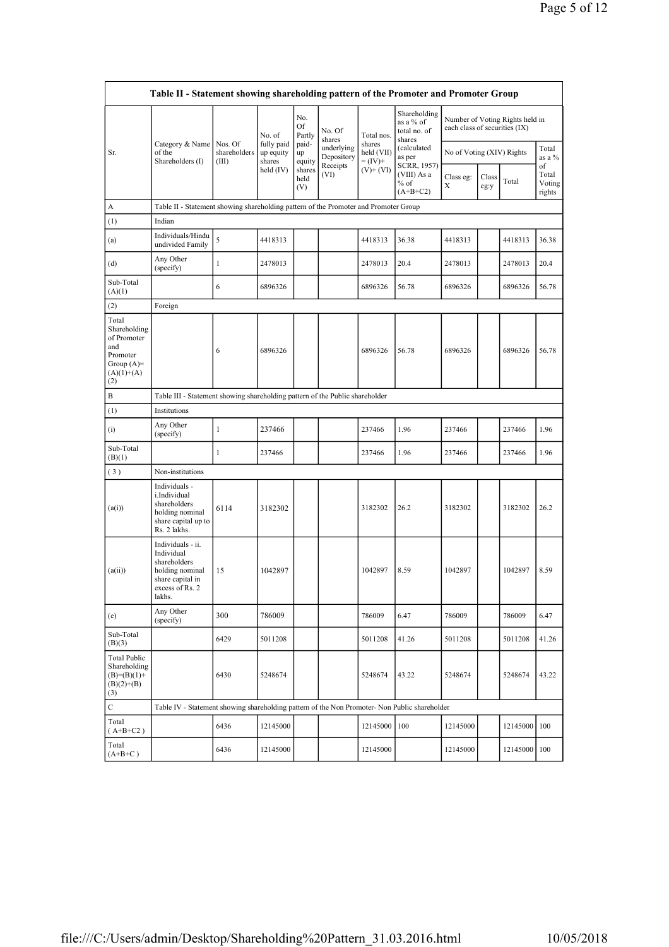| Table II - Statement showing shareholding pattern of the Promoter and Promoter Group           |                                                                                                                     |                                                                                                 |                                   |                       |                          |                                    |                                                     |                               |  |                                 |                 |
|------------------------------------------------------------------------------------------------|---------------------------------------------------------------------------------------------------------------------|-------------------------------------------------------------------------------------------------|-----------------------------------|-----------------------|--------------------------|------------------------------------|-----------------------------------------------------|-------------------------------|--|---------------------------------|-----------------|
|                                                                                                |                                                                                                                     |                                                                                                 | No. of                            | No.<br>Of<br>Partly   | No. Of<br>shares         | Total nos.                         | Shareholding<br>as a % of<br>total no. of<br>shares | each class of securities (IX) |  | Number of Voting Rights held in |                 |
| Sr.                                                                                            | Category & Name<br>of the<br>Shareholders (I)                                                                       | Nos. Of<br>shareholders<br>(III)                                                                | fully paid<br>up equity<br>shares | paid-<br>up<br>equity | underlying<br>Depository | shares<br>held (VII)<br>$= (IV) +$ | (calculated<br>as per                               | No of Voting (XIV) Rights     |  |                                 | Total<br>as a % |
|                                                                                                |                                                                                                                     | Receipts<br>SCRR, 1957)<br>held $(IV)$<br>shares<br>$(V)+(VI)$<br>(VI)<br>held<br>$%$ of<br>(V) | (VIII) As a<br>$(A+B+C2)$         | Class eg:<br>X        | Class<br>eg:y            | Total                              | of<br>Total<br>Voting<br>rights                     |                               |  |                                 |                 |
| A                                                                                              | Table II - Statement showing shareholding pattern of the Promoter and Promoter Group                                |                                                                                                 |                                   |                       |                          |                                    |                                                     |                               |  |                                 |                 |
| (1)                                                                                            | Indian                                                                                                              |                                                                                                 |                                   |                       |                          |                                    |                                                     |                               |  |                                 |                 |
| (a)                                                                                            | Individuals/Hindu<br>undivided Family                                                                               | 5                                                                                               | 4418313                           |                       |                          | 4418313                            | 36.38                                               | 4418313                       |  | 4418313                         | 36.38           |
| (d)                                                                                            | Any Other<br>(specify)                                                                                              | 1                                                                                               | 2478013                           |                       |                          | 2478013                            | 20.4                                                | 2478013                       |  | 2478013                         | 20.4            |
| Sub-Total<br>(A)(1)                                                                            |                                                                                                                     | 6                                                                                               | 6896326                           |                       |                          | 6896326                            | 56.78                                               | 6896326                       |  | 6896326                         | 56.78           |
| (2)                                                                                            | Foreign                                                                                                             |                                                                                                 |                                   |                       |                          |                                    |                                                     |                               |  |                                 |                 |
| Total<br>Shareholding<br>of Promoter<br>and<br>Promoter<br>Group $(A)=$<br>$(A)(1)+(A)$<br>(2) |                                                                                                                     | 6                                                                                               | 6896326                           |                       |                          | 6896326                            | 56.78                                               | 6896326                       |  | 6896326                         | 56.78           |
| B                                                                                              | Table III - Statement showing shareholding pattern of the Public shareholder                                        |                                                                                                 |                                   |                       |                          |                                    |                                                     |                               |  |                                 |                 |
| (1)                                                                                            | Institutions                                                                                                        |                                                                                                 |                                   |                       |                          |                                    |                                                     |                               |  |                                 |                 |
| (i)                                                                                            | Any Other<br>(specify)                                                                                              | $\mathbf{1}$                                                                                    | 237466                            |                       |                          | 237466                             | 1.96                                                | 237466                        |  | 237466                          | 1.96            |
| Sub-Total<br>(B)(1)                                                                            |                                                                                                                     | $\mathbf{1}$                                                                                    | 237466                            |                       |                          | 237466                             | 1.96                                                | 237466                        |  | 237466                          | 1.96            |
| (3)                                                                                            | Non-institutions                                                                                                    |                                                                                                 |                                   |                       |                          |                                    |                                                     |                               |  |                                 |                 |
| (a(i))                                                                                         | Individuals -<br>i.Individual<br>shareholders<br>holding nominal<br>share capital up to<br>Rs. 2 lakhs.             | 6114                                                                                            | 3182302                           |                       |                          | 3182302                            | 26.2                                                | 3182302                       |  | 3182302                         | 26.2            |
| (a(ii))                                                                                        | Individuals - ii.<br>Individual<br>shareholders<br>holding nominal<br>share capital in<br>excess of Rs. 2<br>lakhs. | 15                                                                                              | 1042897                           |                       |                          | 1042897                            | 8.59                                                | 1042897                       |  | 1042897                         | 8.59            |
| (e)                                                                                            | Any Other<br>(specify)                                                                                              | 300                                                                                             | 786009                            |                       |                          | 786009                             | 6.47                                                | 786009                        |  | 786009                          | 6.47            |
| Sub-Total<br>(B)(3)                                                                            |                                                                                                                     | 6429                                                                                            | 5011208                           |                       |                          | 5011208                            | 41.26                                               | 5011208                       |  | 5011208                         | 41.26           |
| <b>Total Public</b><br>Shareholding<br>$(B)=(B)(1)+$<br>$(B)(2)+(B)$<br>(3)                    |                                                                                                                     | 6430                                                                                            | 5248674                           |                       |                          | 5248674                            | 43.22                                               | 5248674                       |  | 5248674                         | 43.22           |
| C                                                                                              | Table IV - Statement showing shareholding pattern of the Non Promoter- Non Public shareholder                       |                                                                                                 |                                   |                       |                          |                                    |                                                     |                               |  |                                 |                 |
| Total<br>$(A+B+C2)$                                                                            |                                                                                                                     | 6436                                                                                            | 12145000                          |                       |                          | 12145000                           | 100                                                 | 12145000                      |  | 12145000                        | 100             |
| Total<br>$(A+B+C)$                                                                             |                                                                                                                     | 6436                                                                                            | 12145000                          |                       |                          | 12145000                           |                                                     | 12145000                      |  | 12145000 100                    |                 |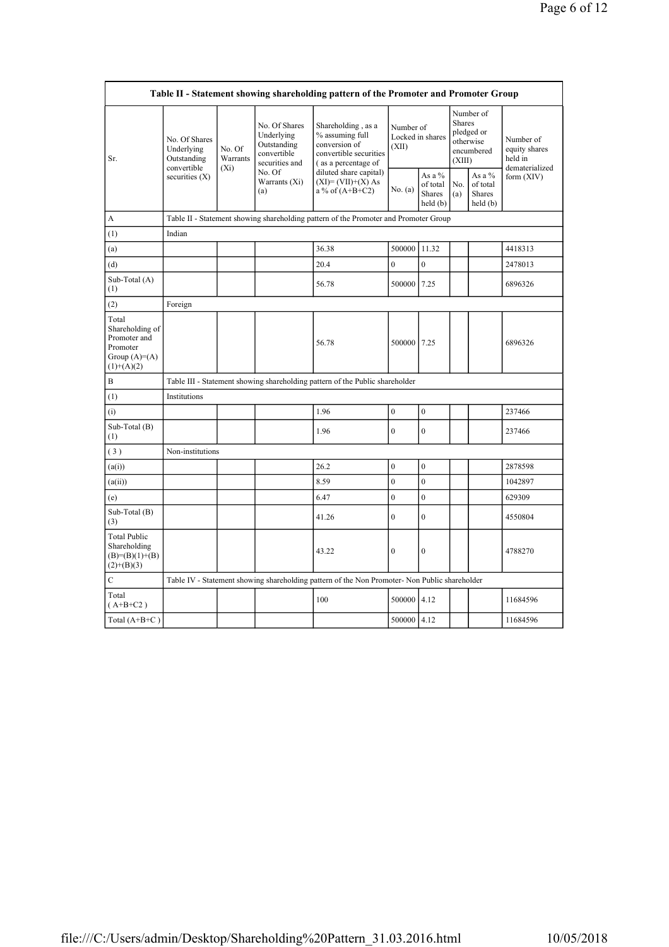| Table II - Statement showing shareholding pattern of the Promoter and Promoter Group   |                                            |                    |                                                                             |                                                                                                                                                                                 |                                        |                                          |                                                                        |                                                |                                       |  |
|----------------------------------------------------------------------------------------|--------------------------------------------|--------------------|-----------------------------------------------------------------------------|---------------------------------------------------------------------------------------------------------------------------------------------------------------------------------|----------------------------------------|------------------------------------------|------------------------------------------------------------------------|------------------------------------------------|---------------------------------------|--|
| Sr.                                                                                    | No. Of Shares<br>Underlying<br>Outstanding | No. Of<br>Warrants | No. Of Shares<br>Underlying<br>Outstanding<br>convertible<br>securities and | Shareholding, as a<br>% assuming full<br>conversion of<br>convertible securities<br>(as a percentage of<br>diluted share capital)<br>$(XI)=(VII)+(X) As$<br>$a\%$ of $(A+B+C2)$ | Number of<br>Locked in shares<br>(XII) |                                          | Number of<br>Shares<br>pledged or<br>otherwise<br>encumbered<br>(XIII) |                                                | Number of<br>equity shares<br>held in |  |
|                                                                                        | convertible<br>securities $(X)$            | $(X_i)$            | No. Of<br>Warrants (Xi)<br>(a)                                              |                                                                                                                                                                                 | No. (a)                                | As a %<br>of total<br>Shares<br>held (b) | No.<br>(a)                                                             | As a %<br>of total<br><b>Shares</b><br>held(b) | dematerialized<br>form $(XIV)$        |  |
| A                                                                                      |                                            |                    |                                                                             | Table II - Statement showing shareholding pattern of the Promoter and Promoter Group                                                                                            |                                        |                                          |                                                                        |                                                |                                       |  |
| (1)                                                                                    | Indian                                     |                    |                                                                             |                                                                                                                                                                                 |                                        |                                          |                                                                        |                                                |                                       |  |
| (a)                                                                                    |                                            |                    |                                                                             | 36.38                                                                                                                                                                           | 500000                                 | 11.32                                    |                                                                        |                                                | 4418313                               |  |
| (d)                                                                                    |                                            |                    |                                                                             | 20.4                                                                                                                                                                            | $\overline{0}$                         | $\overline{0}$                           |                                                                        |                                                | 2478013                               |  |
| Sub-Total (A)<br>(1)                                                                   |                                            |                    |                                                                             | 56.78                                                                                                                                                                           | 500000                                 | 7.25                                     |                                                                        |                                                | 6896326                               |  |
| (2)                                                                                    | Foreign                                    |                    |                                                                             |                                                                                                                                                                                 |                                        |                                          |                                                                        |                                                |                                       |  |
| Total<br>Shareholding of<br>Promoter and<br>Promoter<br>Group $(A)=A)$<br>$(1)+(A)(2)$ |                                            |                    |                                                                             | 56.78                                                                                                                                                                           | 500000 7.25                            |                                          |                                                                        |                                                | 6896326                               |  |
| B                                                                                      |                                            |                    |                                                                             | Table III - Statement showing shareholding pattern of the Public shareholder                                                                                                    |                                        |                                          |                                                                        |                                                |                                       |  |
| (1)                                                                                    | Institutions                               |                    |                                                                             |                                                                                                                                                                                 |                                        |                                          |                                                                        |                                                |                                       |  |
| (i)                                                                                    |                                            |                    |                                                                             | 1.96                                                                                                                                                                            | $\overline{0}$                         | $\overline{0}$                           |                                                                        |                                                | 237466                                |  |
| Sub-Total $(B)$<br>(1)                                                                 |                                            |                    |                                                                             | 1.96                                                                                                                                                                            | $\boldsymbol{0}$                       | $\boldsymbol{0}$                         |                                                                        |                                                | 237466                                |  |
| (3)                                                                                    | Non-institutions                           |                    |                                                                             |                                                                                                                                                                                 |                                        |                                          |                                                                        |                                                |                                       |  |
| (a(i))                                                                                 |                                            |                    |                                                                             | 26.2                                                                                                                                                                            | $\overline{0}$                         | $\mathbf{0}$                             |                                                                        |                                                | 2878598                               |  |
| (a(ii))                                                                                |                                            |                    |                                                                             | 8.59                                                                                                                                                                            | $\overline{0}$                         | $\mathbf{0}$                             |                                                                        |                                                | 1042897                               |  |
| (e)                                                                                    |                                            |                    |                                                                             | 6.47                                                                                                                                                                            | $\overline{0}$                         | $\overline{0}$                           |                                                                        |                                                | 629309                                |  |
| Sub-Total (B)<br>(3)                                                                   |                                            |                    |                                                                             | 41.26                                                                                                                                                                           | $\theta$                               | $\mathbf{0}$                             |                                                                        |                                                | 4550804                               |  |
| <b>Total Public</b><br>Shareholding<br>$(B)= (B)(1)+(B)$<br>$(2)+(B)(3)$               |                                            |                    |                                                                             | 43.22                                                                                                                                                                           | $\overline{0}$                         | $\mathbf{0}$                             |                                                                        |                                                | 4788270                               |  |
| $\mathbf C$                                                                            |                                            |                    |                                                                             | Table IV - Statement showing shareholding pattern of the Non Promoter- Non Public shareholder                                                                                   |                                        |                                          |                                                                        |                                                |                                       |  |
| Total<br>$(A+B+C2)$                                                                    |                                            |                    |                                                                             | 100                                                                                                                                                                             | 500000 4.12                            |                                          |                                                                        |                                                | 11684596                              |  |
| Total $(A+B+C)$                                                                        |                                            |                    |                                                                             |                                                                                                                                                                                 | 500000                                 | 4.12                                     |                                                                        |                                                | 11684596                              |  |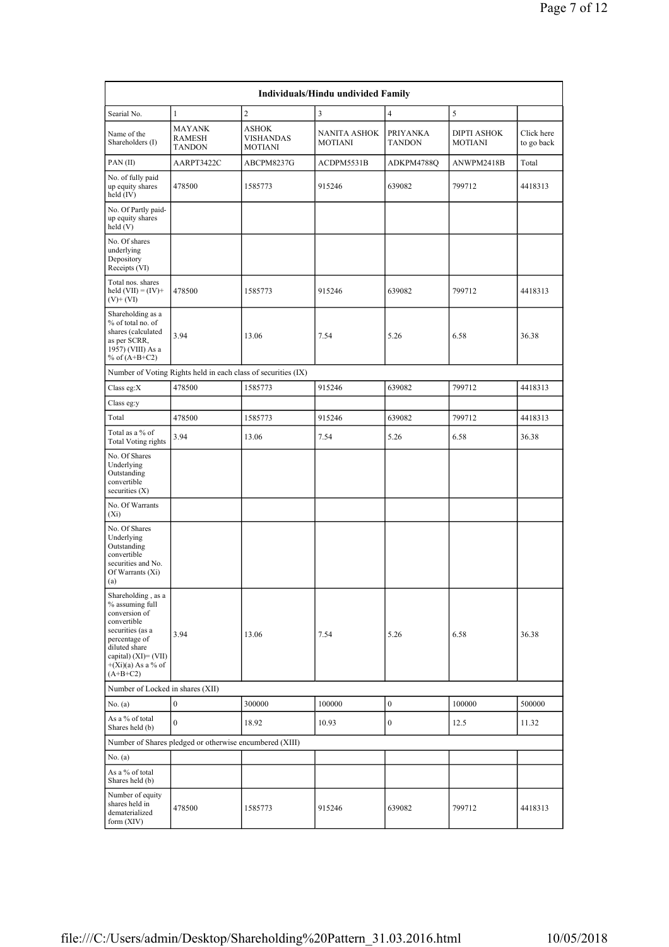| Individuals/Hindu undivided Family                                                                                                                                                           |                                                               |                                                    |                                |                                  |                                      |                          |  |  |  |  |
|----------------------------------------------------------------------------------------------------------------------------------------------------------------------------------------------|---------------------------------------------------------------|----------------------------------------------------|--------------------------------|----------------------------------|--------------------------------------|--------------------------|--|--|--|--|
| Searial No.                                                                                                                                                                                  | $\mathbf{1}$                                                  | $\overline{c}$                                     | 3                              | $\overline{4}$                   | 5                                    |                          |  |  |  |  |
| Name of the<br>Shareholders (I)                                                                                                                                                              | <b>MAYANK</b><br>RAMESH<br><b>TANDON</b>                      | <b>ASHOK</b><br><b>VISHANDAS</b><br><b>MOTIANI</b> | NANITA ASHOK<br><b>MOTIANI</b> | <b>PRIYANKA</b><br><b>TANDON</b> | <b>DIPTI ASHOK</b><br><b>MOTIANI</b> | Click here<br>to go back |  |  |  |  |
| PAN (II)                                                                                                                                                                                     | AARPT3422C                                                    | ABCPM8237G                                         | ACDPM5531B                     | ADKPM4788Q                       | ANWPM2418B                           | Total                    |  |  |  |  |
| No. of fully paid<br>up equity shares<br>held (IV)                                                                                                                                           | 478500                                                        | 1585773                                            | 915246                         | 639082                           | 799712                               | 4418313                  |  |  |  |  |
| No. Of Partly paid-<br>up equity shares<br>held (V)                                                                                                                                          |                                                               |                                                    |                                |                                  |                                      |                          |  |  |  |  |
| No. Of shares<br>underlying<br>Depository<br>Receipts (VI)                                                                                                                                   |                                                               |                                                    |                                |                                  |                                      |                          |  |  |  |  |
| Total nos. shares<br>held $(VII) = (IV) +$<br>$(V)$ + $(VI)$                                                                                                                                 | 478500                                                        | 1585773                                            | 915246                         | 639082                           | 799712                               | 4418313                  |  |  |  |  |
| Shareholding as a<br>% of total no. of<br>shares (calculated<br>as per SCRR,<br>1957) (VIII) As a<br>% of $(A+B+C2)$                                                                         | 3.94                                                          | 13.06                                              | 7.54                           | 5.26                             | 6.58                                 | 36.38                    |  |  |  |  |
|                                                                                                                                                                                              | Number of Voting Rights held in each class of securities (IX) |                                                    |                                |                                  |                                      |                          |  |  |  |  |
| Class eg:X                                                                                                                                                                                   | 478500                                                        | 1585773                                            | 915246                         | 639082                           | 799712                               | 4418313                  |  |  |  |  |
| Class eg:y                                                                                                                                                                                   |                                                               |                                                    |                                |                                  |                                      |                          |  |  |  |  |
| Total                                                                                                                                                                                        | 478500                                                        | 1585773                                            | 915246                         | 639082                           | 799712                               | 4418313                  |  |  |  |  |
| Total as a % of<br><b>Total Voting rights</b>                                                                                                                                                | 3.94                                                          | 13.06                                              | 7.54                           | 5.26                             | 6.58                                 | 36.38                    |  |  |  |  |
| No. Of Shares<br>Underlying<br>Outstanding<br>convertible<br>securities $(X)$                                                                                                                |                                                               |                                                    |                                |                                  |                                      |                          |  |  |  |  |
| No. Of Warrants<br>$(X_i)$                                                                                                                                                                   |                                                               |                                                    |                                |                                  |                                      |                          |  |  |  |  |
| No. Of Shares<br>Underlying<br>Outstanding<br>convertible<br>securities and No.<br>Of Warrants (Xi)<br>(a)                                                                                   |                                                               |                                                    |                                |                                  |                                      |                          |  |  |  |  |
| Shareholding, as a<br>% assuming full<br>conversion of<br>convertible<br>securities (as a<br>percentage of<br>diluted share<br>capital) $(XI) = (VII)$<br>$+(Xi)(a)$ As a % of<br>$(A+B+C2)$ | 3.94                                                          | 13.06                                              | 7.54                           | 5.26                             | 6.58                                 | 36.38                    |  |  |  |  |
| Number of Locked in shares (XII)                                                                                                                                                             |                                                               |                                                    |                                |                                  |                                      |                          |  |  |  |  |
| No. (a)                                                                                                                                                                                      | $\boldsymbol{0}$                                              | 300000                                             | 100000                         | $\boldsymbol{0}$                 | 100000                               | 500000                   |  |  |  |  |
| As a % of total<br>Shares held (b)                                                                                                                                                           | $\mathbf{0}$                                                  | 18.92                                              | 10.93                          | $\bf{0}$                         | 12.5                                 | 11.32                    |  |  |  |  |
|                                                                                                                                                                                              | Number of Shares pledged or otherwise encumbered (XIII)       |                                                    |                                |                                  |                                      |                          |  |  |  |  |
| No. (a)                                                                                                                                                                                      |                                                               |                                                    |                                |                                  |                                      |                          |  |  |  |  |
| As a % of total<br>Shares held (b)                                                                                                                                                           |                                                               |                                                    |                                |                                  |                                      |                          |  |  |  |  |
| Number of equity<br>shares held in<br>dematerialized<br>form (XIV)                                                                                                                           | 478500                                                        | 1585773                                            | 915246                         | 639082                           | 799712                               | 4418313                  |  |  |  |  |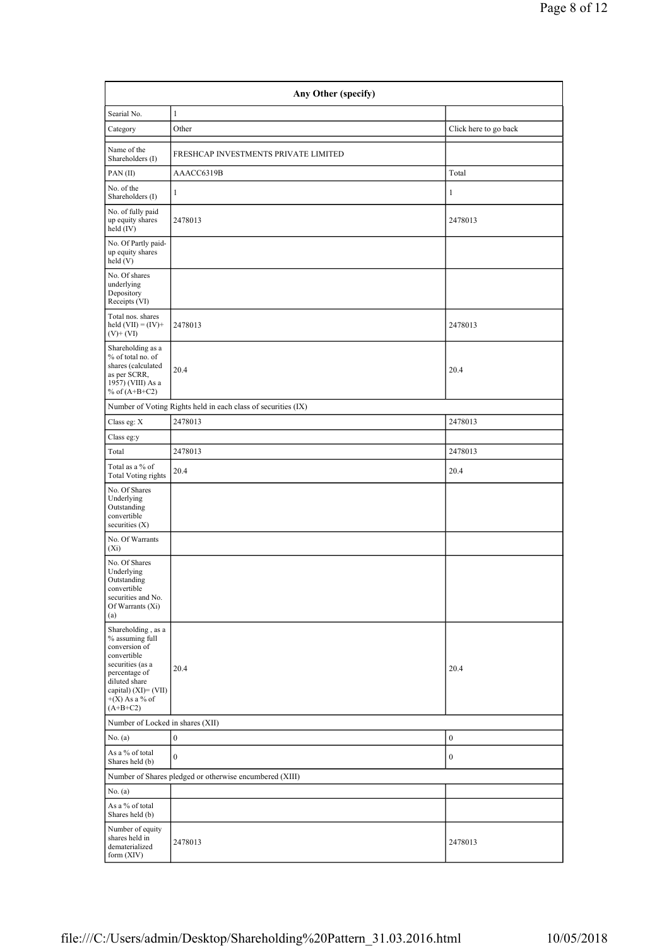| Any Other (specify)                                                                                                                                                                      |                                                               |                       |  |  |  |  |  |
|------------------------------------------------------------------------------------------------------------------------------------------------------------------------------------------|---------------------------------------------------------------|-----------------------|--|--|--|--|--|
| Searial No.                                                                                                                                                                              | $\mathbf{1}$                                                  |                       |  |  |  |  |  |
| Category                                                                                                                                                                                 | Other                                                         | Click here to go back |  |  |  |  |  |
| Name of the<br>Shareholders (I)                                                                                                                                                          | FRESHCAP INVESTMENTS PRIVATE LIMITED                          |                       |  |  |  |  |  |
| PAN(II)                                                                                                                                                                                  | AAACC6319B                                                    | Total                 |  |  |  |  |  |
| No. of the<br>Shareholders (I)                                                                                                                                                           | $\mathbf{1}$                                                  | $\,1$                 |  |  |  |  |  |
| No. of fully paid<br>up equity shares<br>held (IV)                                                                                                                                       | 2478013                                                       | 2478013               |  |  |  |  |  |
| No. Of Partly paid-<br>up equity shares<br>held(V)                                                                                                                                       |                                                               |                       |  |  |  |  |  |
| No. Of shares<br>underlying<br>Depository<br>Receipts (VI)                                                                                                                               |                                                               |                       |  |  |  |  |  |
| Total nos. shares<br>held $(VII) = (IV) +$<br>$(V)$ + $(VI)$                                                                                                                             | 2478013                                                       | 2478013               |  |  |  |  |  |
| Shareholding as a<br>% of total no. of<br>shares (calculated<br>as per SCRR,<br>1957) (VIII) As a<br>% of $(A+B+C2)$                                                                     | 20.4                                                          | 20.4                  |  |  |  |  |  |
|                                                                                                                                                                                          | Number of Voting Rights held in each class of securities (IX) |                       |  |  |  |  |  |
| Class eg: X                                                                                                                                                                              | 2478013                                                       | 2478013               |  |  |  |  |  |
| Class eg:y                                                                                                                                                                               |                                                               |                       |  |  |  |  |  |
| Total                                                                                                                                                                                    | 2478013                                                       | 2478013               |  |  |  |  |  |
| Total as a % of<br><b>Total Voting rights</b>                                                                                                                                            | 20.4                                                          | 20.4                  |  |  |  |  |  |
| No. Of Shares<br>Underlying<br>Outstanding<br>convertible<br>securities $(X)$                                                                                                            |                                                               |                       |  |  |  |  |  |
| No. Of Warrants<br>$(X_i)$                                                                                                                                                               |                                                               |                       |  |  |  |  |  |
| No. Of Shares<br>Underlying<br>Outstanding<br>convertible<br>securities and No.<br>Of Warrants (Xi)<br>(a)                                                                               |                                                               |                       |  |  |  |  |  |
| Shareholding, as a<br>% assuming full<br>conversion of<br>convertible<br>securities (as a<br>percentage of<br>diluted share<br>capital) $(XI) = (VII)$<br>$+(X)$ As a % of<br>$(A+B+C2)$ | 20.4                                                          | 20.4                  |  |  |  |  |  |
| Number of Locked in shares (XII)                                                                                                                                                         |                                                               |                       |  |  |  |  |  |
| No. (a)                                                                                                                                                                                  | $\boldsymbol{0}$                                              | $\bf{0}$              |  |  |  |  |  |
| As a % of total<br>Shares held (b)                                                                                                                                                       | $\mathbf{0}$                                                  | $\boldsymbol{0}$      |  |  |  |  |  |
|                                                                                                                                                                                          | Number of Shares pledged or otherwise encumbered (XIII)       |                       |  |  |  |  |  |
| No. (a)                                                                                                                                                                                  |                                                               |                       |  |  |  |  |  |
| As a % of total<br>Shares held (b)                                                                                                                                                       |                                                               |                       |  |  |  |  |  |
| Number of equity<br>shares held in<br>dematerialized<br>form (XIV)                                                                                                                       | 2478013                                                       | 2478013               |  |  |  |  |  |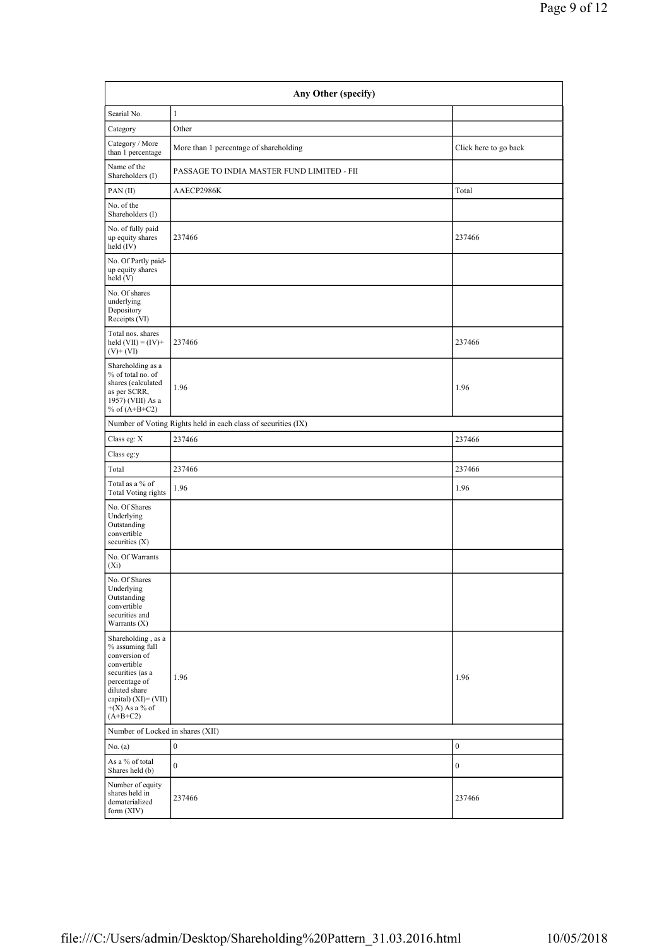| Any Other (specify)                                                                                                                                                                      |                                                               |                       |  |  |  |  |  |
|------------------------------------------------------------------------------------------------------------------------------------------------------------------------------------------|---------------------------------------------------------------|-----------------------|--|--|--|--|--|
| Searial No.                                                                                                                                                                              | $\mathbf{1}$                                                  |                       |  |  |  |  |  |
| Category                                                                                                                                                                                 | Other                                                         |                       |  |  |  |  |  |
| Category / More<br>than 1 percentage                                                                                                                                                     | More than 1 percentage of shareholding                        | Click here to go back |  |  |  |  |  |
| Name of the<br>Shareholders (I)                                                                                                                                                          | PASSAGE TO INDIA MASTER FUND LIMITED - FII                    |                       |  |  |  |  |  |
| PAN(II)                                                                                                                                                                                  | AAECP2986K                                                    | Total                 |  |  |  |  |  |
| No. of the<br>Shareholders (I)                                                                                                                                                           |                                                               |                       |  |  |  |  |  |
| No. of fully paid<br>up equity shares<br>held (IV)                                                                                                                                       | 237466                                                        | 237466                |  |  |  |  |  |
| No. Of Partly paid-<br>up equity shares<br>held (V)                                                                                                                                      |                                                               |                       |  |  |  |  |  |
| No. Of shares<br>underlying<br>Depository<br>Receipts (VI)                                                                                                                               |                                                               |                       |  |  |  |  |  |
| Total nos. shares<br>held $(VII) = (IV) +$<br>$(V)$ + $(VI)$                                                                                                                             | 237466                                                        | 237466                |  |  |  |  |  |
| Shareholding as a<br>% of total no. of<br>shares (calculated<br>as per SCRR,<br>1957) (VIII) As a<br>% of $(A+B+C2)$                                                                     | 1.96                                                          | 1.96                  |  |  |  |  |  |
|                                                                                                                                                                                          | Number of Voting Rights held in each class of securities (IX) |                       |  |  |  |  |  |
| Class eg: X                                                                                                                                                                              | 237466                                                        | 237466                |  |  |  |  |  |
| Class eg:y                                                                                                                                                                               |                                                               |                       |  |  |  |  |  |
| Total                                                                                                                                                                                    | 237466                                                        | 237466                |  |  |  |  |  |
| Total as a % of<br><b>Total Voting rights</b>                                                                                                                                            | 1.96                                                          | 1.96                  |  |  |  |  |  |
| No. Of Shares<br>Underlying<br>Outstanding<br>convertible<br>securities $(X)$                                                                                                            |                                                               |                       |  |  |  |  |  |
| No. Of Warrants<br>$(X_i)$                                                                                                                                                               |                                                               |                       |  |  |  |  |  |
| No. Of Shares<br>Underlying<br>Outstanding<br>convertible<br>securities and<br>Warrants (X)                                                                                              |                                                               |                       |  |  |  |  |  |
| Shareholding, as a<br>% assuming full<br>conversion of<br>convertible<br>securities (as a<br>percentage of<br>diluted share<br>capital) $(XI) = (VII)$<br>$+(X)$ As a % of<br>$(A+B+C2)$ | 1.96                                                          | 1.96                  |  |  |  |  |  |
| Number of Locked in shares (XII)                                                                                                                                                         |                                                               |                       |  |  |  |  |  |
| No. $(a)$                                                                                                                                                                                | $\boldsymbol{0}$                                              | $\boldsymbol{0}$      |  |  |  |  |  |
| As a % of total<br>Shares held (b)                                                                                                                                                       | $\boldsymbol{0}$                                              | $\boldsymbol{0}$      |  |  |  |  |  |
| Number of equity<br>shares held in<br>dematerialized<br>form (XIV)                                                                                                                       | 237466                                                        | 237466                |  |  |  |  |  |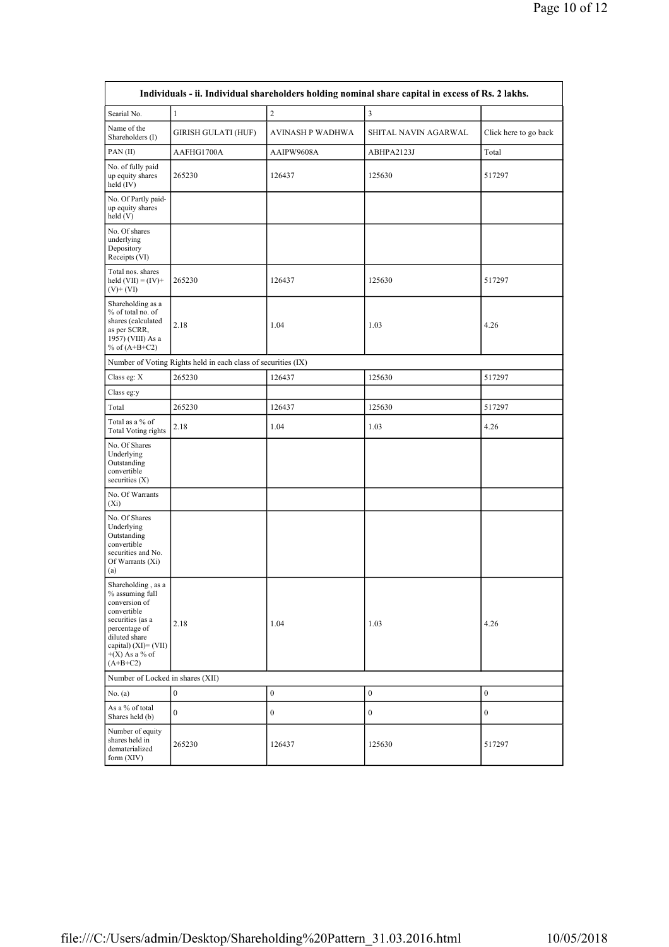| Individuals - ii. Individual shareholders holding nominal share capital in excess of Rs. 2 lakhs.                                                                                           |                                                               |                  |                         |                       |  |  |  |  |  |  |
|---------------------------------------------------------------------------------------------------------------------------------------------------------------------------------------------|---------------------------------------------------------------|------------------|-------------------------|-----------------------|--|--|--|--|--|--|
| Searial No.                                                                                                                                                                                 | $\mathbf{1}$                                                  | $\overline{c}$   | $\overline{\mathbf{3}}$ |                       |  |  |  |  |  |  |
| Name of the<br>Shareholders (I)                                                                                                                                                             | <b>GIRISH GULATI (HUF)</b>                                    | AVINASH P WADHWA | SHITAL NAVIN AGARWAL    | Click here to go back |  |  |  |  |  |  |
| PAN(II)                                                                                                                                                                                     | AAFHG1700A                                                    | AAIPW9608A       | ABHPA2123J              | Total                 |  |  |  |  |  |  |
| No. of fully paid<br>up equity shares<br>held (IV)                                                                                                                                          | 265230                                                        | 126437           | 125630                  | 517297                |  |  |  |  |  |  |
| No. Of Partly paid-<br>up equity shares<br>held(V)                                                                                                                                          |                                                               |                  |                         |                       |  |  |  |  |  |  |
| No. Of shares<br>underlying<br>Depository<br>Receipts (VI)                                                                                                                                  |                                                               |                  |                         |                       |  |  |  |  |  |  |
| Total nos. shares<br>held $(VII) = (IV) +$<br>$(V)$ + $(VI)$                                                                                                                                | 265230                                                        | 126437           | 125630                  | 517297                |  |  |  |  |  |  |
| Shareholding as a<br>% of total no. of<br>shares (calculated<br>as per SCRR,<br>1957) (VIII) As a<br>% of $(A+B+C2)$                                                                        | 2.18                                                          | 1.04             | 1.03                    | 4.26                  |  |  |  |  |  |  |
|                                                                                                                                                                                             | Number of Voting Rights held in each class of securities (IX) |                  |                         |                       |  |  |  |  |  |  |
| Class eg: X                                                                                                                                                                                 | 265230                                                        | 126437           | 125630                  | 517297                |  |  |  |  |  |  |
| Class eg:y                                                                                                                                                                                  |                                                               |                  |                         |                       |  |  |  |  |  |  |
| Total                                                                                                                                                                                       | 265230                                                        | 126437           | 125630                  | 517297                |  |  |  |  |  |  |
| Total as a % of<br>Total Voting rights                                                                                                                                                      | 2.18                                                          | 1.04             | 1.03                    | 4.26                  |  |  |  |  |  |  |
| No. Of Shares<br>Underlying<br>Outstanding<br>convertible<br>securities $(X)$                                                                                                               |                                                               |                  |                         |                       |  |  |  |  |  |  |
| No. Of Warrants<br>$(X_i)$                                                                                                                                                                  |                                                               |                  |                         |                       |  |  |  |  |  |  |
| No. Of Shares<br>Underlying<br>Outstanding<br>convertible<br>securities and No.<br>Of Warrants (Xi)<br>(a)                                                                                  |                                                               |                  |                         |                       |  |  |  |  |  |  |
| Shareholding, as a<br>$\%$ assuming full<br>conversion of<br>convertible<br>securities (as a<br>percentage of<br>diluted share<br>capital) $(XI) = (VII)$<br>$+(X)$ As a % of<br>$(A+B+C2)$ | 2.18                                                          | 1.04             | 1.03                    | 4.26                  |  |  |  |  |  |  |
| Number of Locked in shares (XII)                                                                                                                                                            |                                                               |                  |                         |                       |  |  |  |  |  |  |
| No. (a)                                                                                                                                                                                     | $\boldsymbol{0}$                                              | $\boldsymbol{0}$ | $\boldsymbol{0}$        | $\boldsymbol{0}$      |  |  |  |  |  |  |
| As a % of total<br>Shares held (b)                                                                                                                                                          | $\mathbf{0}$                                                  | $\boldsymbol{0}$ | $\boldsymbol{0}$        | 0                     |  |  |  |  |  |  |
| Number of equity<br>shares held in<br>dematerialized<br>form $(XIV)$                                                                                                                        | 265230                                                        | 126437           | 125630                  | 517297                |  |  |  |  |  |  |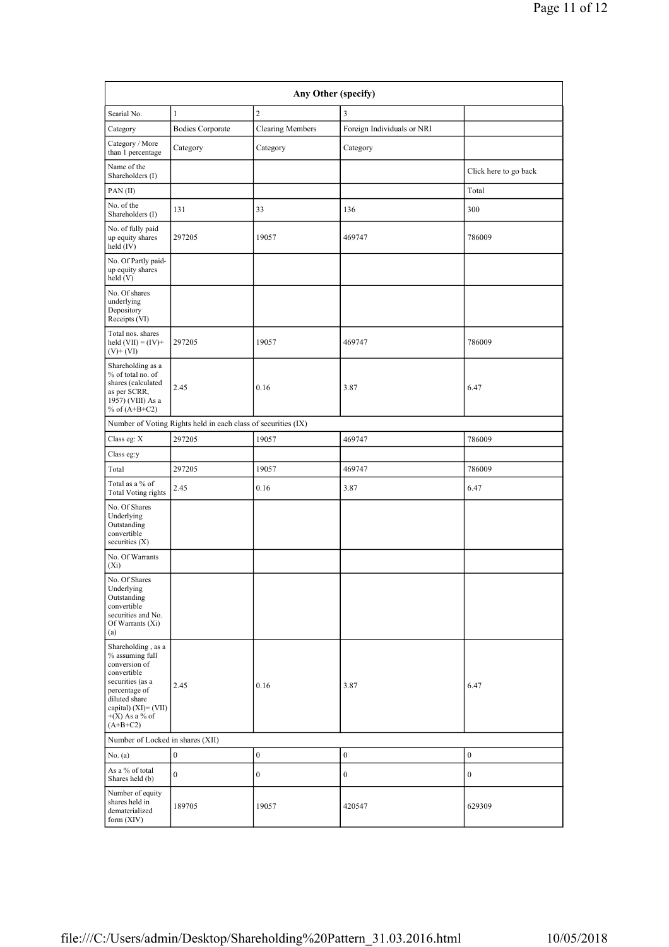| Any Other (specify)                                                                                                                                                                      |                                                               |                         |                            |                       |  |  |  |  |  |
|------------------------------------------------------------------------------------------------------------------------------------------------------------------------------------------|---------------------------------------------------------------|-------------------------|----------------------------|-----------------------|--|--|--|--|--|
| Searial No.                                                                                                                                                                              | $\mathbf{1}$                                                  | $\overline{c}$          | 3                          |                       |  |  |  |  |  |
| Category                                                                                                                                                                                 | <b>Bodies Corporate</b>                                       | <b>Clearing Members</b> | Foreign Individuals or NRI |                       |  |  |  |  |  |
| Category / More<br>than 1 percentage                                                                                                                                                     | Category                                                      | Category                | Category                   |                       |  |  |  |  |  |
| Name of the<br>Shareholders (I)                                                                                                                                                          |                                                               |                         |                            | Click here to go back |  |  |  |  |  |
| PAN(II)                                                                                                                                                                                  |                                                               |                         |                            | Total                 |  |  |  |  |  |
| No. of the<br>Shareholders (I)                                                                                                                                                           | 131                                                           | 33                      | 136                        | 300                   |  |  |  |  |  |
| No. of fully paid<br>up equity shares<br>held $(IV)$                                                                                                                                     | 297205                                                        | 19057                   | 469747                     | 786009                |  |  |  |  |  |
| No. Of Partly paid-<br>up equity shares<br>held(V)                                                                                                                                       |                                                               |                         |                            |                       |  |  |  |  |  |
| No. Of shares<br>underlying<br>Depository<br>Receipts (VI)                                                                                                                               |                                                               |                         |                            |                       |  |  |  |  |  |
| Total nos. shares<br>held $(VII) = (IV) +$<br>$(V)$ + $(VI)$                                                                                                                             | 297205                                                        | 19057                   | 469747                     | 786009                |  |  |  |  |  |
| Shareholding as a<br>% of total no. of<br>shares (calculated<br>as per SCRR,<br>1957) (VIII) As a<br>% of $(A+B+C2)$                                                                     | 2.45                                                          | 0.16                    | 3.87                       | 6.47                  |  |  |  |  |  |
|                                                                                                                                                                                          | Number of Voting Rights held in each class of securities (IX) |                         |                            |                       |  |  |  |  |  |
| Class eg: X                                                                                                                                                                              | 297205                                                        | 19057                   | 469747                     | 786009                |  |  |  |  |  |
| Class eg:y                                                                                                                                                                               |                                                               |                         |                            |                       |  |  |  |  |  |
| Total                                                                                                                                                                                    | 297205                                                        | 19057                   | 469747                     | 786009                |  |  |  |  |  |
| Total as a % of<br><b>Total Voting rights</b>                                                                                                                                            | 2.45                                                          | 0.16                    | 3.87                       | 6.47                  |  |  |  |  |  |
| No. Of Shares<br>Underlying<br>Outstanding<br>convertible<br>securities $(X)$                                                                                                            |                                                               |                         |                            |                       |  |  |  |  |  |
| No. Of Warrants<br>$(X_i)$                                                                                                                                                               |                                                               |                         |                            |                       |  |  |  |  |  |
| No. Of Shares<br>Underlying<br>Outstanding<br>convertible<br>securities and No.<br>Of Warrants (Xi)<br>(a)                                                                               |                                                               |                         |                            |                       |  |  |  |  |  |
| Shareholding, as a<br>% assuming full<br>conversion of<br>convertible<br>securities (as a<br>percentage of<br>diluted share<br>capital) $(XI) = (VII)$<br>$+(X)$ As a % of<br>$(A+B+C2)$ | 2.45                                                          | 0.16                    | 3.87                       | 6.47                  |  |  |  |  |  |
| Number of Locked in shares (XII)                                                                                                                                                         |                                                               |                         |                            |                       |  |  |  |  |  |
| No. (a)                                                                                                                                                                                  | $\boldsymbol{0}$                                              | $\boldsymbol{0}$        | $\boldsymbol{0}$           | $\boldsymbol{0}$      |  |  |  |  |  |
| As a % of total<br>Shares held (b)                                                                                                                                                       | $\mathbf{0}$                                                  | $\boldsymbol{0}$        | $\bf{0}$                   | $\boldsymbol{0}$      |  |  |  |  |  |
| Number of equity<br>shares held in<br>dematerialized<br>form (XIV)                                                                                                                       | 189705                                                        | 19057                   | 420547                     | 629309                |  |  |  |  |  |